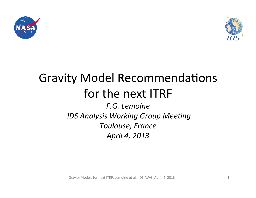



# Gravity Model Recommendations for the next ITRF *F.G. Lemoine IDS Analysis Working Group Meeting Toulouse, France April 4, 2013*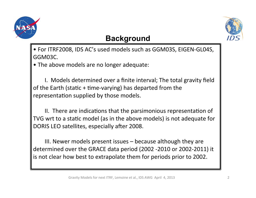



#### **Background**

• For ITRF2008, IDS AC's used models such as GGM03S, EIGEN-GL04S, GGM03C. 

• The above models are no longer adequate:

I. Models determined over a finite interval; The total gravity field of the Earth (static  $+$  time-varying) has departed from the representation supplied by those models.

II. There are indications that the parsimonious representation of TVG wrt to a static model (as in the above models) is not adequate for DORIS LEO satellites, especially after 2008.

III. Newer models present issues  $-$  because although they are determined over the GRACE data period (2002 -2010 or 2002-2011) it is not clear how best to extrapolate them for periods prior to 2002.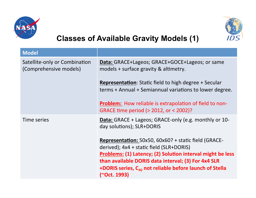



## **Classes of Available Gravity Models (1)**

| <b>Model</b>                                            |                                                                                                                                                                                                                                                                                                              |
|---------------------------------------------------------|--------------------------------------------------------------------------------------------------------------------------------------------------------------------------------------------------------------------------------------------------------------------------------------------------------------|
| Satellite-only or Combination<br>(Comprehensive models) | <b>Data:</b> GRACE+Lageos; GRACE+GOCE+Lageos; or same<br>models + surface gravity & altimetry.                                                                                                                                                                                                               |
|                                                         | <b>Representation:</b> Static field to high degree + Secular<br>terms + Annual + Semiannual variations to lower degree.                                                                                                                                                                                      |
|                                                         | <b>Problem:</b> How reliable is extrapolation of field to non-<br>GRACE time period (> 2012, or < 2002)?                                                                                                                                                                                                     |
| Time series                                             | <b>Data:</b> GRACE + Lageos; GRACE-only (e.g. monthly or 10-<br>day solutions); SLR+DORIS                                                                                                                                                                                                                    |
|                                                         | Representation: 50x50, 60x60? + static field (GRACE-<br>derived); 4x4 + static field (SLR+DORIS)<br><b>Problems: (1) Latency; (2) Solution interval might be less</b><br>than available DORIS data interval; (3) For 4x4 SLR<br>+DORIS series, $C_{40}$ not reliable before launch of Stella<br>(~Oct. 1993) |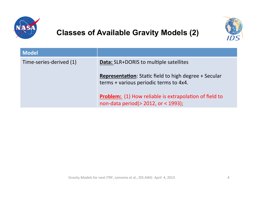

### **Classes of Available Gravity Models (2)**



| <b>Model</b>            |                                                                                                        |
|-------------------------|--------------------------------------------------------------------------------------------------------|
| Time-series-derived (1) | <b>Data:</b> SLR+DORIS to multiple satellites                                                          |
|                         | <b>Representation:</b> Static field to high degree + Secular<br>terms + various periodic terms to 4x4. |
|                         | <b>Problem:</b> (1) How reliable is extrapolation of field to<br>non-data period(> 2012, or < 1993);   |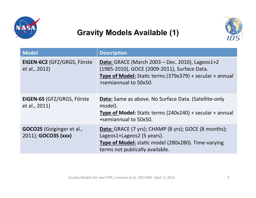

#### **Gravity Models Available (1)**



| <b>Model</b>                                            | <b>Description</b>                                                                                                                                                                   |
|---------------------------------------------------------|--------------------------------------------------------------------------------------------------------------------------------------------------------------------------------------|
| EIGEN-6C2 (GFZ/GRGS, Förste<br>et al., 2012)            | Data: GRACE (March 2003 – Dec. 2010), Lageos1+2<br>(1985-2010), GOCE (2009-2011), Surface Data.<br>Type of Model: Static terms (379x379) + secular + annual<br>+semiannual to 50x50. |
| <b>EIGEN-6S (GFZ/GRGS, Förste</b><br>et al., 2011)      | Data: Same as above. No Surface Data. (Satellite-only<br>model).<br><b>Type of Model:</b> Static terms $(240x240) +$ secular + annual<br>+semiannual to 50x50.                       |
| <b>GOCO2S</b> (Goiginger et al.,<br>2011); GOCO3S (xxx) | Data: GRACE (7 yrs); CHAMP (8 yrs); GOCE (8 months);<br>Lageos1+Lageos2 (5 years).<br><b>Type of Model:</b> static model (280x280). Time-varying<br>terms not publically available.  |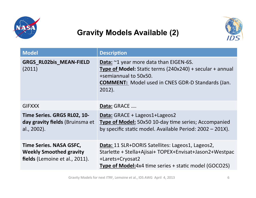

### **Gravity Models Available (2)**



| <b>Model</b>                                                                                | <b>Description</b>                                                                                                                                                                                                            |
|---------------------------------------------------------------------------------------------|-------------------------------------------------------------------------------------------------------------------------------------------------------------------------------------------------------------------------------|
| <b>GRGS_RL02bis_MEAN-FIELD</b><br>(2011)                                                    | <b>Data:</b> $\approx$ 1 year more data than EIGEN-6S.<br><b>Type of Model:</b> Static terms $(240x240)$ + secular + annual<br>+semiannual to 50x50.<br><b>COMMENT:</b> Model used in CNES GDR-D Standards (Jan.<br>$2012$ ). |
| <b>GIFXXX</b>                                                                               | Data: GRACE                                                                                                                                                                                                                   |
| Time Series. GRGS RL02, 10-<br>day gravity fields (Bruinsma et<br>al., 2002).               | Data: GRACE + Lageos1+Lageos2<br><b>Type of Model:</b> 50x50 10-day time series; Accompanied<br>by specific static model. Available Period: 2002 - 201X).                                                                     |
| Time Series. NASA GSFC,<br><b>Weekly Smoothed gravity</b><br>fields (Lemoine et al., 2011). | Data: 11 SLR+DORIS Satellites: Lageos1, Lageos2,<br>Starlette + Stella+Ajisai+ TOPEX+Envisat+Jason2+Westpac<br>+Larets+Cryosat2<br><b>Type of Model:</b> 4x4 time series + static model (GOCO2S)                              |

Gravity Models for next ITRF, Lemoine et al., IDS AWG April 4, 2013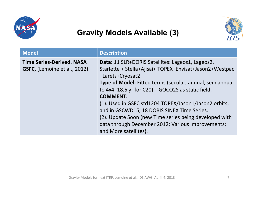

#### **Gravity Models Available (3)**



| <b>Model</b>                                                      | <b>Description</b>                                                                                                                                                                                                                                                                                                                                                                                                                                                                                                      |
|-------------------------------------------------------------------|-------------------------------------------------------------------------------------------------------------------------------------------------------------------------------------------------------------------------------------------------------------------------------------------------------------------------------------------------------------------------------------------------------------------------------------------------------------------------------------------------------------------------|
| <b>Time Series-Derived. NASA</b><br>GSFC, (Lemoine et al., 2012). | Data: 11 SLR+DORIS Satellites: Lageos1, Lageos2,<br>Starlette + Stella+Ajisai+ TOPEX+Envisat+Jason2+Westpac<br>+Larets+Cryosat2<br>Type of Model: Fitted terms (secular, annual, semiannual<br>to $4x4$ ; 18.6 yr for C20) + GOCO2S as static field.<br><b>COMMENT:</b><br>(1). Used in GSFC std1204 TOPEX/Jason1/Jason2 orbits;<br>and in GSCWD15, 18 DORIS SINEX Time Series.<br>(2). Update Soon (new Time series being developed with<br>data through December 2012; Various improvements;<br>and More satellites). |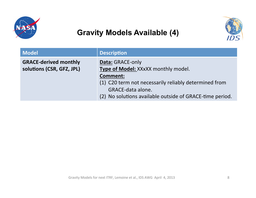

### **Gravity Models Available (4)**



| <b>Model</b>                                              | <b>Description</b>                                                                                                                                                                                                          |
|-----------------------------------------------------------|-----------------------------------------------------------------------------------------------------------------------------------------------------------------------------------------------------------------------------|
| <b>GRACE-derived monthly</b><br>solutions (CSR, GFZ, JPL) | Data: GRACE-only<br>Type of Model: XXxXX monthly model.<br><b>Comment:</b><br>(1) C20 term not necessarily reliably determined from<br><b>GRACE-data alone.</b><br>(2) No solutions available outside of GRACE-time period. |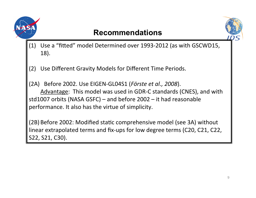

#### **Recommendations**



(1) Use a "fitted" model Determined over 1993-2012 (as with GSCWD15, 18). 

(2) Use Different Gravity Models for Different Time Periods.

(2A) Before 2002. Use EIGEN-GL04S1 (Förste et al., 2008). Advantage: This model was used in GDR-C standards (CNES), and with std1007 orbits (NASA GSFC) – and before  $2002 - it$  had reasonable performance. It also has the virtue of simplicity.

(2B) Before 2002: Modified static comprehensive model (see 3A) without linear extrapolated terms and fix-ups for low degree terms (C20, C21, C22, S22, S21, C30).